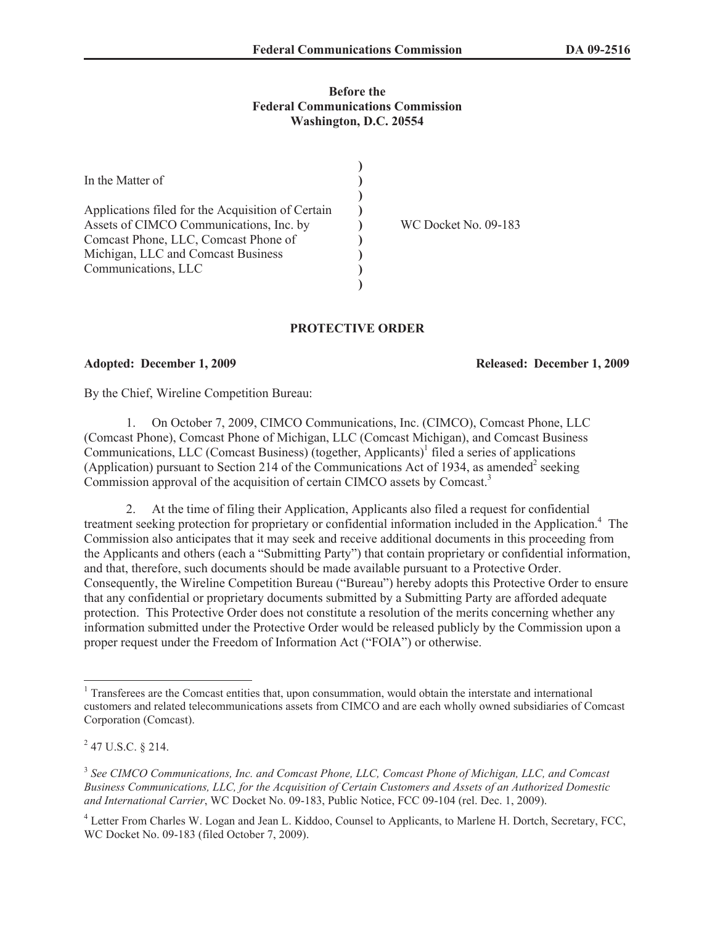## **Before the Federal Communications Commission Washington, D.C. 20554**

| In the Matter of                                                                                                                                                                                  |                      |
|---------------------------------------------------------------------------------------------------------------------------------------------------------------------------------------------------|----------------------|
| Applications filed for the Acquisition of Certain<br>Assets of CIMCO Communications, Inc. by<br>Comcast Phone, LLC, Comcast Phone of<br>Michigan, LLC and Comcast Business<br>Communications, LLC | WC Docket No. 09-183 |
|                                                                                                                                                                                                   |                      |

# **PROTECTIVE ORDER**

**Adopted: December 1, 2009 Released: December 1, 2009**

By the Chief, Wireline Competition Bureau:

1. On October 7, 2009, CIMCO Communications, Inc. (CIMCO), Comcast Phone, LLC (Comcast Phone), Comcast Phone of Michigan, LLC (Comcast Michigan), and Comcast Business Communications, LLC (Comcast Business) (together, Applicants)<sup>1</sup> filed a series of applications (Application) pursuant to Section 214 of the Communications Act of 1934, as amended<sup>2</sup> seeking Commission approval of the acquisition of certain CIMCO assets by Comcast.<sup>3</sup>

2. At the time of filing their Application, Applicants also filed a request for confidential treatment seeking protection for proprietary or confidential information included in the Application.<sup>4</sup> The Commission also anticipates that it may seek and receive additional documents in this proceeding from the Applicants and others (each a "Submitting Party") that contain proprietary or confidential information, and that, therefore, such documents should be made available pursuant to a Protective Order. Consequently, the Wireline Competition Bureau ("Bureau") hereby adopts this Protective Order to ensure that any confidential or proprietary documents submitted by a Submitting Party are afforded adequate protection. This Protective Order does not constitute a resolution of the merits concerning whether any information submitted under the Protective Order would be released publicly by the Commission upon a proper request under the Freedom of Information Act ("FOIA") or otherwise.

<sup>&</sup>lt;sup>1</sup> Transferees are the Comcast entities that, upon consummation, would obtain the interstate and international customers and related telecommunications assets from CIMCO and are each wholly owned subsidiaries of Comcast Corporation (Comcast).

 $^{2}$  47 U.S.C. § 214.

<sup>3</sup> *See CIMCO Communications, Inc. and Comcast Phone, LLC, Comcast Phone of Michigan, LLC, and Comcast Business Communications, LLC, for the Acquisition of Certain Customers and Assets of an Authorized Domestic and International Carrier*, WC Docket No. 09-183, Public Notice, FCC 09-104 (rel. Dec. 1, 2009).

<sup>4</sup> Letter From Charles W. Logan and Jean L. Kiddoo, Counsel to Applicants, to Marlene H. Dortch, Secretary, FCC, WC Docket No. 09-183 (filed October 7, 2009).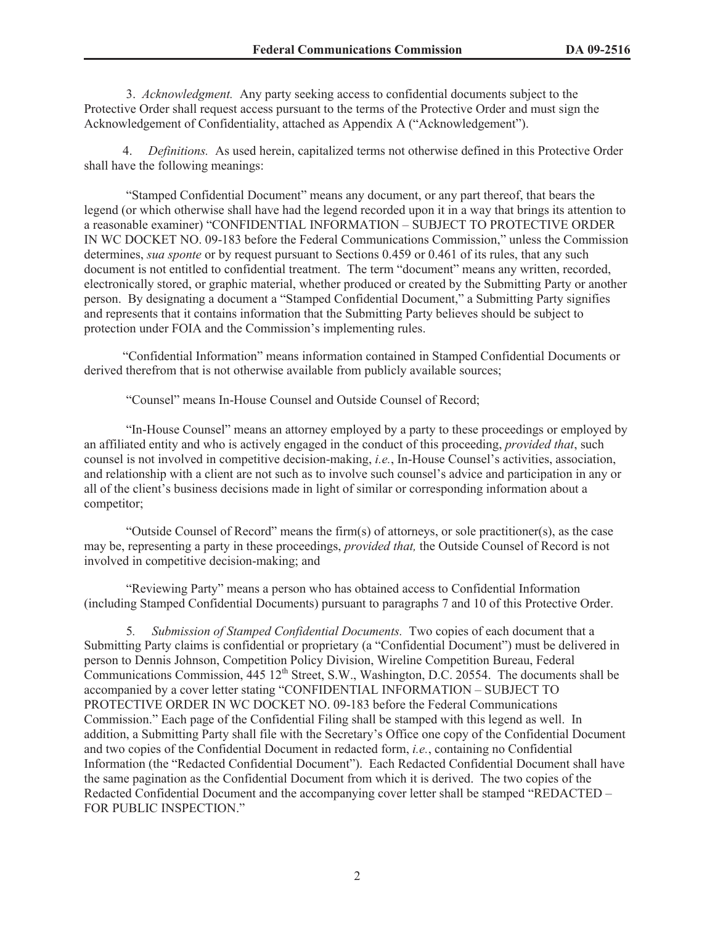3. *Acknowledgment.* Any party seeking access to confidential documents subject to the Protective Order shall request access pursuant to the terms of the Protective Order and must sign the Acknowledgement of Confidentiality, attached as Appendix A ("Acknowledgement").

4. *Definitions.* As used herein, capitalized terms not otherwise defined in this Protective Order shall have the following meanings:

"Stamped Confidential Document" means any document, or any part thereof, that bears the legend (or which otherwise shall have had the legend recorded upon it in a way that brings its attention to a reasonable examiner) "CONFIDENTIAL INFORMATION – SUBJECT TO PROTECTIVE ORDER IN WC DOCKET NO. 09-183 before the Federal Communications Commission," unless the Commission determines, *sua sponte* or by request pursuant to Sections 0.459 or 0.461 of its rules, that any such document is not entitled to confidential treatment. The term "document" means any written, recorded, electronically stored, or graphic material, whether produced or created by the Submitting Party or another person. By designating a document a "Stamped Confidential Document," a Submitting Party signifies and represents that it contains information that the Submitting Party believes should be subject to protection under FOIA and the Commission's implementing rules.

"Confidential Information" means information contained in Stamped Confidential Documents or derived therefrom that is not otherwise available from publicly available sources;

"Counsel" means In-House Counsel and Outside Counsel of Record;

"In-House Counsel" means an attorney employed by a party to these proceedings or employed by an affiliated entity and who is actively engaged in the conduct of this proceeding, *provided that*, such counsel is not involved in competitive decision-making, *i.e.*, In-House Counsel's activities, association, and relationship with a client are not such as to involve such counsel's advice and participation in any or all of the client's business decisions made in light of similar or corresponding information about a competitor;

"Outside Counsel of Record" means the firm(s) of attorneys, or sole practitioner(s), as the case may be, representing a party in these proceedings, *provided that,* the Outside Counsel of Record is not involved in competitive decision-making; and

"Reviewing Party" means a person who has obtained access to Confidential Information (including Stamped Confidential Documents) pursuant to paragraphs 7 and 10 of this Protective Order.

5*. Submission of Stamped Confidential Documents.* Two copies of each document that a Submitting Party claims is confidential or proprietary (a "Confidential Document") must be delivered in person to Dennis Johnson, Competition Policy Division, Wireline Competition Bureau, Federal Communications Commission,  $\frac{445 \text{ 12}^{\text{th}}}{205 \text{ K}}$ , W., Washington, D.C. 20554. The documents shall be accompanied by a cover letter stating "CONFIDENTIAL INFORMATION – SUBJECT TO PROTECTIVE ORDER IN WC DOCKET NO. 09-183 before the Federal Communications Commission." Each page of the Confidential Filing shall be stamped with this legend as well. In addition, a Submitting Party shall file with the Secretary's Office one copy of the Confidential Document and two copies of the Confidential Document in redacted form, *i.e.*, containing no Confidential Information (the "Redacted Confidential Document"). Each Redacted Confidential Document shall have the same pagination as the Confidential Document from which it is derived. The two copies of the Redacted Confidential Document and the accompanying cover letter shall be stamped "REDACTED – FOR PUBLIC INSPECTION."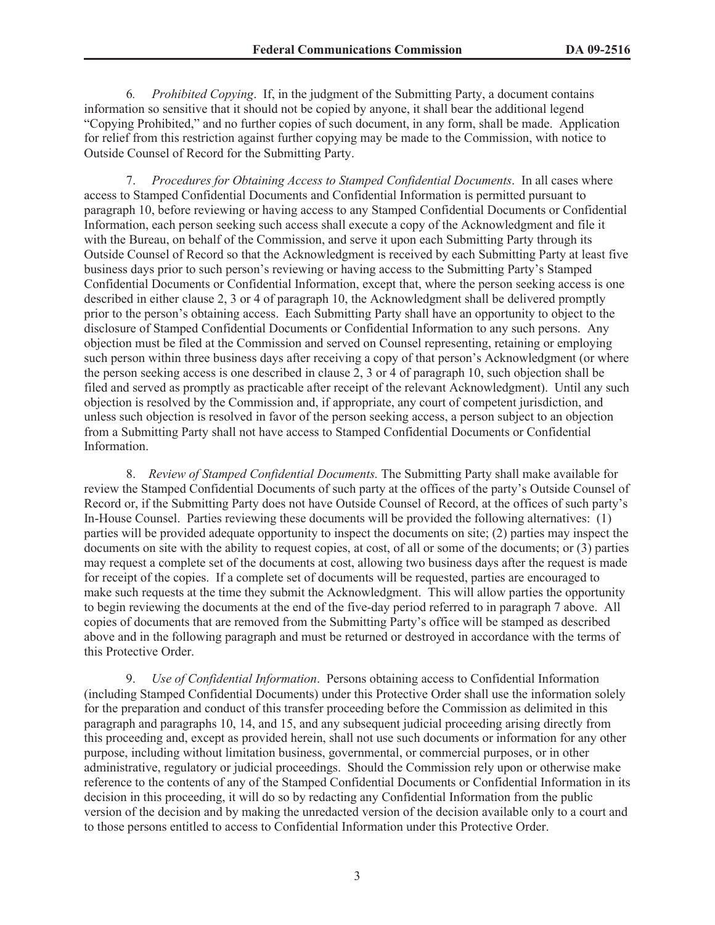6*. Prohibited Copying*. If, in the judgment of the Submitting Party, a document contains information so sensitive that it should not be copied by anyone, it shall bear the additional legend "Copying Prohibited," and no further copies of such document, in any form, shall be made. Application for relief from this restriction against further copying may be made to the Commission, with notice to Outside Counsel of Record for the Submitting Party.

7. *Procedures for Obtaining Access to Stamped Confidential Documents*. In all cases where access to Stamped Confidential Documents and Confidential Information is permitted pursuant to paragraph 10, before reviewing or having access to any Stamped Confidential Documents or Confidential Information, each person seeking such access shall execute a copy of the Acknowledgment and file it with the Bureau, on behalf of the Commission, and serve it upon each Submitting Party through its Outside Counsel of Record so that the Acknowledgment is received by each Submitting Party at least five business days prior to such person's reviewing or having access to the Submitting Party's Stamped Confidential Documents or Confidential Information, except that, where the person seeking access is one described in either clause 2, 3 or 4 of paragraph 10, the Acknowledgment shall be delivered promptly prior to the person's obtaining access. Each Submitting Party shall have an opportunity to object to the disclosure of Stamped Confidential Documents or Confidential Information to any such persons. Any objection must be filed at the Commission and served on Counsel representing, retaining or employing such person within three business days after receiving a copy of that person's Acknowledgment (or where the person seeking access is one described in clause 2, 3 or 4 of paragraph 10, such objection shall be filed and served as promptly as practicable after receipt of the relevant Acknowledgment). Until any such objection is resolved by the Commission and, if appropriate, any court of competent jurisdiction, and unless such objection is resolved in favor of the person seeking access, a person subject to an objection from a Submitting Party shall not have access to Stamped Confidential Documents or Confidential Information.

8. *Review of Stamped Confidential Documents.* The Submitting Party shall make available for review the Stamped Confidential Documents of such party at the offices of the party's Outside Counsel of Record or, if the Submitting Party does not have Outside Counsel of Record, at the offices of such party's In-House Counsel. Parties reviewing these documents will be provided the following alternatives: (1) parties will be provided adequate opportunity to inspect the documents on site; (2) parties may inspect the documents on site with the ability to request copies, at cost, of all or some of the documents; or (3) parties may request a complete set of the documents at cost, allowing two business days after the request is made for receipt of the copies. If a complete set of documents will be requested, parties are encouraged to make such requests at the time they submit the Acknowledgment. This will allow parties the opportunity to begin reviewing the documents at the end of the five-day period referred to in paragraph 7 above. All copies of documents that are removed from the Submitting Party's office will be stamped as described above and in the following paragraph and must be returned or destroyed in accordance with the terms of this Protective Order.

9. *Use of Confidential Information*. Persons obtaining access to Confidential Information (including Stamped Confidential Documents) under this Protective Order shall use the information solely for the preparation and conduct of this transfer proceeding before the Commission as delimited in this paragraph and paragraphs 10, 14, and 15, and any subsequent judicial proceeding arising directly from this proceeding and, except as provided herein, shall not use such documents or information for any other purpose, including without limitation business, governmental, or commercial purposes, or in other administrative, regulatory or judicial proceedings. Should the Commission rely upon or otherwise make reference to the contents of any of the Stamped Confidential Documents or Confidential Information in its decision in this proceeding, it will do so by redacting any Confidential Information from the public version of the decision and by making the unredacted version of the decision available only to a court and to those persons entitled to access to Confidential Information under this Protective Order.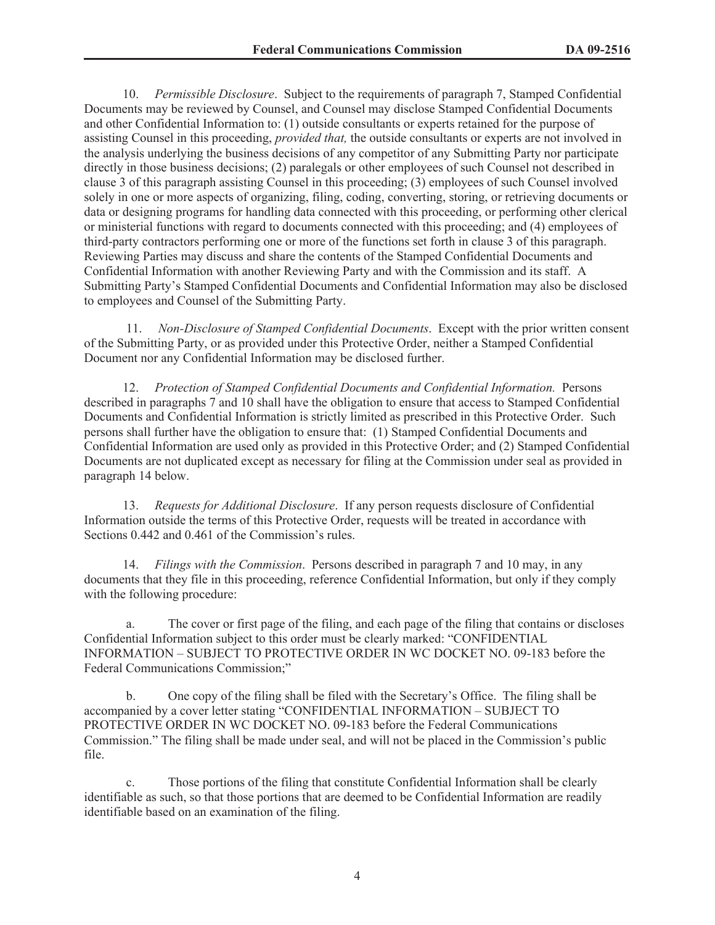10. *Permissible Disclosure*. Subject to the requirements of paragraph 7, Stamped Confidential Documents may be reviewed by Counsel, and Counsel may disclose Stamped Confidential Documents and other Confidential Information to: (1) outside consultants or experts retained for the purpose of assisting Counsel in this proceeding, *provided that,* the outside consultants or experts are not involved in the analysis underlying the business decisions of any competitor of any Submitting Party nor participate directly in those business decisions; (2) paralegals or other employees of such Counsel not described in clause 3 of this paragraph assisting Counsel in this proceeding; (3) employees of such Counsel involved solely in one or more aspects of organizing, filing, coding, converting, storing, or retrieving documents or data or designing programs for handling data connected with this proceeding, or performing other clerical or ministerial functions with regard to documents connected with this proceeding; and (4) employees of third-party contractors performing one or more of the functions set forth in clause 3 of this paragraph. Reviewing Parties may discuss and share the contents of the Stamped Confidential Documents and Confidential Information with another Reviewing Party and with the Commission and its staff. A Submitting Party's Stamped Confidential Documents and Confidential Information may also be disclosed to employees and Counsel of the Submitting Party.

11. *Non-Disclosure of Stamped Confidential Documents*. Except with the prior written consent of the Submitting Party, or as provided under this Protective Order, neither a Stamped Confidential Document nor any Confidential Information may be disclosed further.

12. *Protection of Stamped Confidential Documents and Confidential Information.* Persons described in paragraphs 7 and 10 shall have the obligation to ensure that access to Stamped Confidential Documents and Confidential Information is strictly limited as prescribed in this Protective Order. Such persons shall further have the obligation to ensure that: (1) Stamped Confidential Documents and Confidential Information are used only as provided in this Protective Order; and (2) Stamped Confidential Documents are not duplicated except as necessary for filing at the Commission under seal as provided in paragraph 14 below.

13. *Requests for Additional Disclosure*. If any person requests disclosure of Confidential Information outside the terms of this Protective Order, requests will be treated in accordance with Sections 0.442 and 0.461 of the Commission's rules.

14. *Filings with the Commission*. Persons described in paragraph 7 and 10 may, in any documents that they file in this proceeding, reference Confidential Information, but only if they comply with the following procedure:

a. The cover or first page of the filing, and each page of the filing that contains or discloses Confidential Information subject to this order must be clearly marked: "CONFIDENTIAL INFORMATION – SUBJECT TO PROTECTIVE ORDER IN WC DOCKET NO. 09-183 before the Federal Communications Commission;"

b. One copy of the filing shall be filed with the Secretary's Office. The filing shall be accompanied by a cover letter stating "CONFIDENTIAL INFORMATION – SUBJECT TO PROTECTIVE ORDER IN WC DOCKET NO. 09-183 before the Federal Communications Commission." The filing shall be made under seal, and will not be placed in the Commission's public file.

c. Those portions of the filing that constitute Confidential Information shall be clearly identifiable as such, so that those portions that are deemed to be Confidential Information are readily identifiable based on an examination of the filing.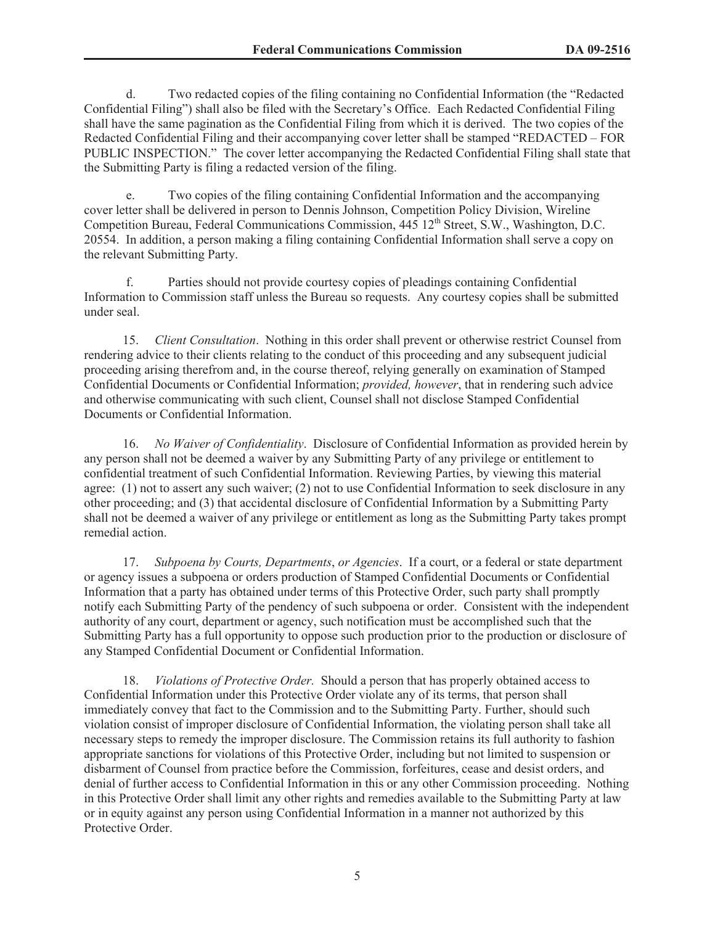d. Two redacted copies of the filing containing no Confidential Information (the "Redacted Confidential Filing") shall also be filed with the Secretary's Office. Each Redacted Confidential Filing shall have the same pagination as the Confidential Filing from which it is derived. The two copies of the Redacted Confidential Filing and their accompanying cover letter shall be stamped "REDACTED – FOR PUBLIC INSPECTION." The cover letter accompanying the Redacted Confidential Filing shall state that the Submitting Party is filing a redacted version of the filing.

e. Two copies of the filing containing Confidential Information and the accompanying cover letter shall be delivered in person to Dennis Johnson, Competition Policy Division, Wireline Competition Bureau, Federal Communications Commission, 445 12<sup>th</sup> Street, S.W., Washington, D.C. 20554. In addition, a person making a filing containing Confidential Information shall serve a copy on the relevant Submitting Party.

f. Parties should not provide courtesy copies of pleadings containing Confidential Information to Commission staff unless the Bureau so requests. Any courtesy copies shall be submitted under seal.

15. *Client Consultation*. Nothing in this order shall prevent or otherwise restrict Counsel from rendering advice to their clients relating to the conduct of this proceeding and any subsequent judicial proceeding arising therefrom and, in the course thereof, relying generally on examination of Stamped Confidential Documents or Confidential Information; *provided, however*, that in rendering such advice and otherwise communicating with such client, Counsel shall not disclose Stamped Confidential Documents or Confidential Information.

16. *No Waiver of Confidentiality*. Disclosure of Confidential Information as provided herein by any person shall not be deemed a waiver by any Submitting Party of any privilege or entitlement to confidential treatment of such Confidential Information. Reviewing Parties, by viewing this material agree: (1) not to assert any such waiver; (2) not to use Confidential Information to seek disclosure in any other proceeding; and (3) that accidental disclosure of Confidential Information by a Submitting Party shall not be deemed a waiver of any privilege or entitlement as long as the Submitting Party takes prompt remedial action.

17. *Subpoena by Courts, Departments*, *or Agencies*. If a court, or a federal or state department or agency issues a subpoena or orders production of Stamped Confidential Documents or Confidential Information that a party has obtained under terms of this Protective Order, such party shall promptly notify each Submitting Party of the pendency of such subpoena or order. Consistent with the independent authority of any court, department or agency, such notification must be accomplished such that the Submitting Party has a full opportunity to oppose such production prior to the production or disclosure of any Stamped Confidential Document or Confidential Information.

18. *Violations of Protective Order.* Should a person that has properly obtained access to Confidential Information under this Protective Order violate any of its terms, that person shall immediately convey that fact to the Commission and to the Submitting Party. Further, should such violation consist of improper disclosure of Confidential Information, the violating person shall take all necessary steps to remedy the improper disclosure. The Commission retains its full authority to fashion appropriate sanctions for violations of this Protective Order, including but not limited to suspension or disbarment of Counsel from practice before the Commission, forfeitures, cease and desist orders, and denial of further access to Confidential Information in this or any other Commission proceeding. Nothing in this Protective Order shall limit any other rights and remedies available to the Submitting Party at law or in equity against any person using Confidential Information in a manner not authorized by this Protective Order.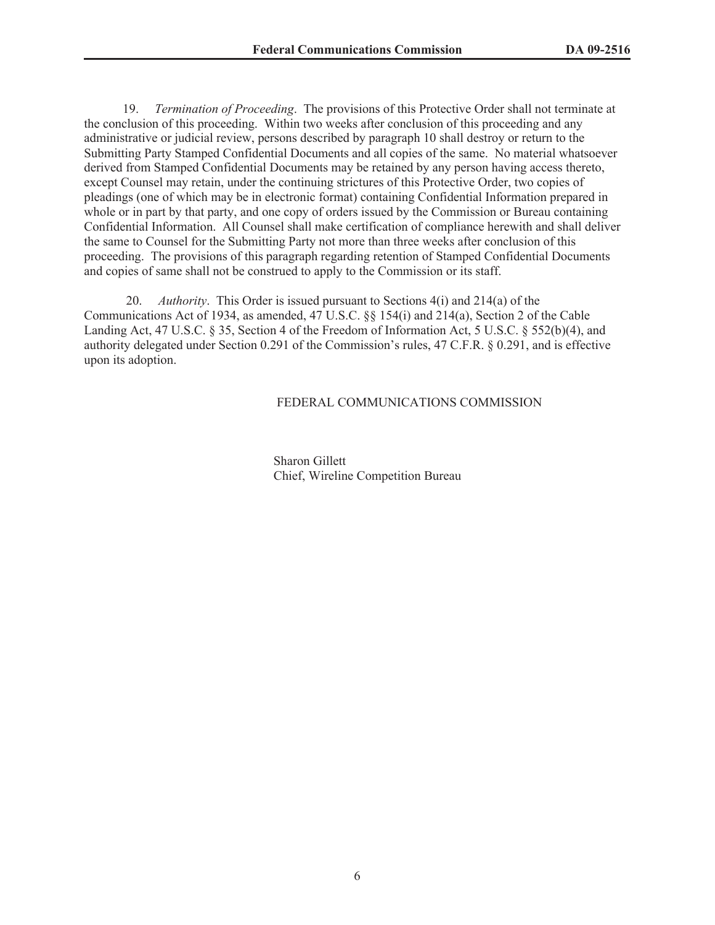19. *Termination of Proceeding*. The provisions of this Protective Order shall not terminate at the conclusion of this proceeding. Within two weeks after conclusion of this proceeding and any administrative or judicial review, persons described by paragraph 10 shall destroy or return to the Submitting Party Stamped Confidential Documents and all copies of the same. No material whatsoever derived from Stamped Confidential Documents may be retained by any person having access thereto, except Counsel may retain, under the continuing strictures of this Protective Order, two copies of pleadings (one of which may be in electronic format) containing Confidential Information prepared in whole or in part by that party, and one copy of orders issued by the Commission or Bureau containing Confidential Information. All Counsel shall make certification of compliance herewith and shall deliver the same to Counsel for the Submitting Party not more than three weeks after conclusion of this proceeding. The provisions of this paragraph regarding retention of Stamped Confidential Documents and copies of same shall not be construed to apply to the Commission or its staff.

20. *Authority*. This Order is issued pursuant to Sections 4(i) and 214(a) of the Communications Act of 1934, as amended, 47 U.S.C. §§ 154(i) and 214(a), Section 2 of the Cable Landing Act, 47 U.S.C. § 35, Section 4 of the Freedom of Information Act, 5 U.S.C. § 552(b)(4), and authority delegated under Section 0.291 of the Commission's rules, 47 C.F.R. § 0.291, and is effective upon its adoption.

### FEDERAL COMMUNICATIONS COMMISSION

Sharon Gillett Chief, Wireline Competition Bureau